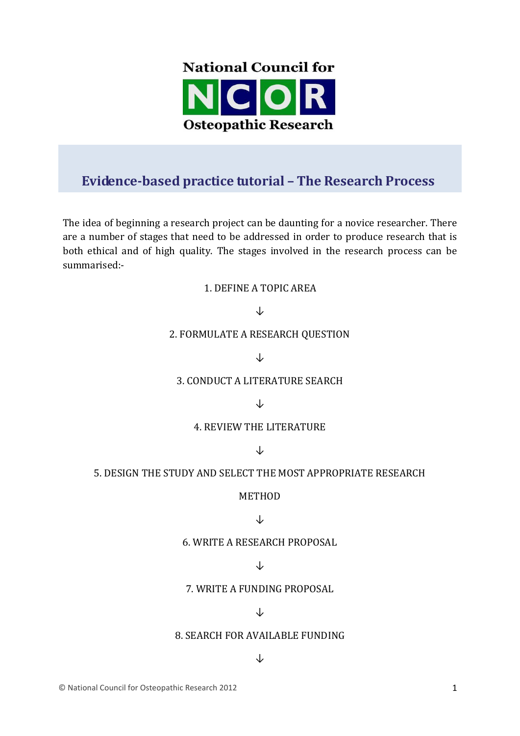

# **Evidence-based practice tutorial – The Research Process**

The idea of beginning a research project can be daunting for a novice researcher. There are a number of stages that need to be addressed in order to produce research that is both ethical and of high quality. The stages involved in the research process can be summarised:-

#### 1. DEFINE A TOPIC AREA

### ↓

#### 2. FORMULATE A RESEARCH QUESTION

↓

#### 3. CONDUCT A LITERATURE SEARCH

↓

#### 4. REVIEW THE LITERATURE

↓

#### 5. DESIGN THE STUDY AND SELECT THE MOST APPROPRIATE RESEARCH

#### METHOD

#### ↓

#### 6. WRITE A RESEARCH PROPOSAL

#### ↓

#### 7. WRITE A FUNDING PROPOSAL

#### ↓

#### 8. SEARCH FOR AVAILABLE FUNDING

#### ↓

© National Council for Osteopathic Research 2012 1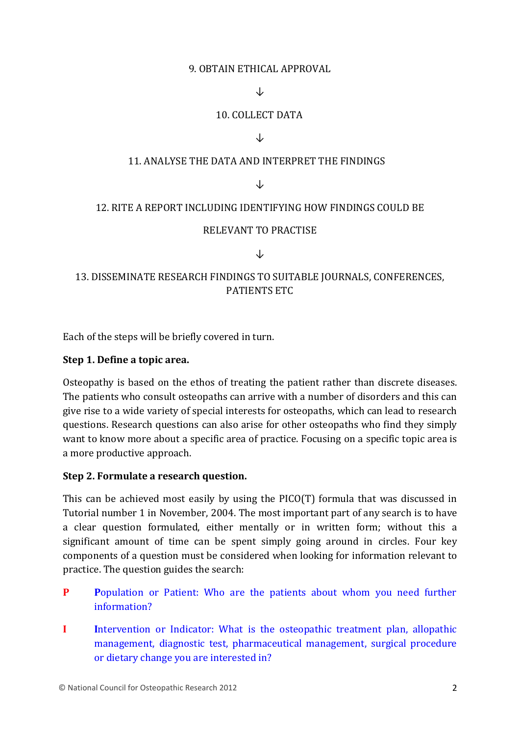#### 9. OBTAIN ETHICAL APPROVAL

### ↓

### 10. COLLECT DATA

#### ↓

### 11. ANALYSE THE DATA AND INTERPRET THE FINDINGS

#### ↓

#### 12. RITE A REPORT INCLUDING IDENTIFYING HOW FINDINGS COULD BE

#### RELEVANT TO PRACTISE

#### ↓

# 13. DISSEMINATE RESEARCH FINDINGS TO SUITABLE JOURNALS, CONFERENCES, PATIENTS ETC

Each of the steps will be briefly covered in turn.

#### **Step 1. Define a topic area.**

Osteopathy is based on the ethos of treating the patient rather than discrete diseases. The patients who consult osteopaths can arrive with a number of disorders and this can give rise to a wide variety of special interests for osteopaths, which can lead to research questions. Research questions can also arise for other osteopaths who find they simply want to know more about a specific area of practice. Focusing on a specific topic area is a more productive approach.

#### **Step 2. Formulate a research question.**

This can be achieved most easily by using the PICO(T) formula that was discussed in Tutorial number 1 in November, 2004. The most important part of any search is to have a clear question formulated, either mentally or in written form; without this a significant amount of time can be spent simply going around in circles. Four key components of a question must be considered when looking for information relevant to practice. The question guides the search:

- **P Population or Patient: Who are the patients about whom you need further** information?
- **I I**ntervention or Indicator: What is the osteopathic treatment plan, allopathic management, diagnostic test, pharmaceutical management, surgical procedure or dietary change you are interested in?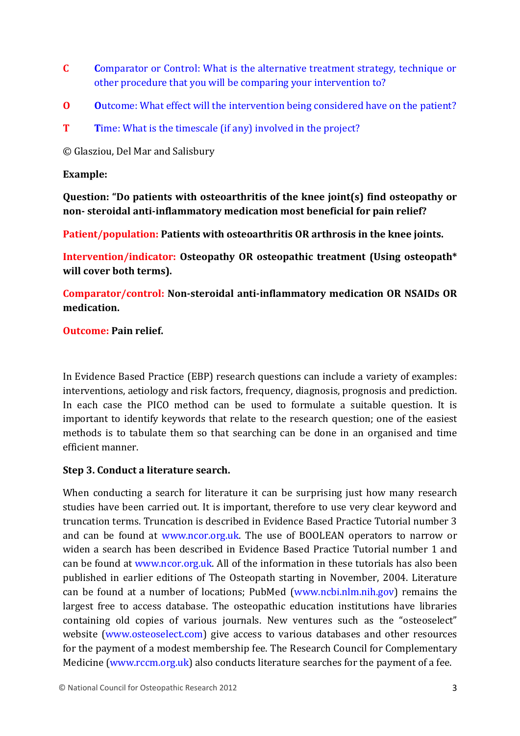- **C C**omparator or Control: What is the alternative treatment strategy, technique or other procedure that you will be comparing your intervention to?
- **O** Outcome: What effect will the intervention being considered have on the patient?
- **T** Time: What is the timescale (if any) involved in the project?

© Glasziou, Del Mar and Salisbury

### **Example:**

**Question: "Do patients with osteoarthritis of the knee joint(s) find osteopathy or non- steroidal anti-inflammatory medication most beneficial for pain relief?**

**Patient/population: Patients with osteoarthritis OR arthrosis in the knee joints.**

**Intervention/indicator: Osteopathy OR osteopathic treatment (Using osteopath\* will cover both terms).**

**Comparator/control: Non-steroidal anti-inflammatory medication OR NSAIDs OR medication.**

# **Outcome: Pain relief.**

In Evidence Based Practice (EBP) research questions can include a variety of examples: interventions, aetiology and risk factors, frequency, diagnosis, prognosis and prediction. In each case the PICO method can be used to formulate a suitable question. It is important to identify keywords that relate to the research question; one of the easiest methods is to tabulate them so that searching can be done in an organised and time efficient manner.

# **Step 3. Conduct a literature search.**

When conducting a search for literature it can be surprising just how many research studies have been carried out. It is important, therefore to use very clear keyword and truncation terms. Truncation is described in Evidence Based Practice Tutorial number 3 and can be found at [www.ncor.org.uk.](http://www.ncor.org.uk/) The use of BOOLEAN operators to narrow or widen a search has been described in Evidence Based Practice Tutorial number 1 and can be found at [www.ncor.org.uk.](http://www.ncor.org.uk/) All of the information in these tutorials has also been published in earlier editions of The Osteopath starting in November, 2004. Literature can be found at a number of locations; PubMed (www.ncbi.nlm.nih.gov) remains the largest free to access database. The osteopathic education institutions have libraries containing old copies of various journals. New ventures such as the "osteoselect" website (www.osteoselect.com) give access to various databases and other resources for the payment of a modest membership fee. The Research Council for Complementary Medicine (www.rccm.org.uk) also conducts literature searches for the payment of a fee.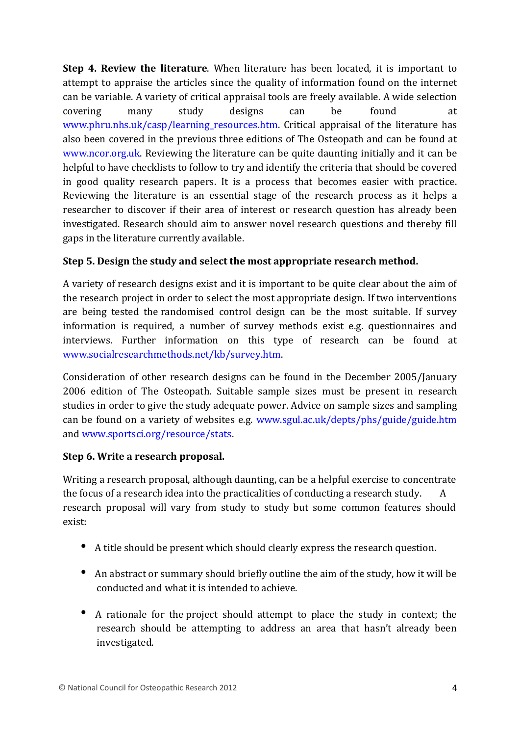**Step 4. Review the literature**. When literature has been located, it is important to attempt to appraise the articles since the quality of information found on the internet can be variable. A variety of critical appraisal tools are freely available. A wide selection covering many study designs can be found at [www.phru.nhs.uk/casp/learning\\_resources.htm.](http://www.phru.nhs.uk/casp/learning_resources.htm) Critical appraisal of the literature has also been covered in the previous three editions of The Osteopath and can be found at [www.ncor.org.uk.](http://www.ncor.org.uk/) Reviewing the literature can be quite daunting initially and it can be helpful to have checklists to follow to try and identify the criteria that should be covered in good quality research papers. It is a process that becomes easier with practice. Reviewing the literature is an essential stage of the research process as it helps a researcher to discover if their area of interest or research question has already been investigated. Research should aim to answer novel research questions and thereby fill gaps in the literature currently available.

# **Step 5. Design the study and select the most appropriate research method.**

A variety of research designs exist and it is important to be quite clear about the aim of the research project in order to select the most appropriate design. If two interventions are being tested the randomised control design can be the most suitable. If survey information is required, a number of survey methods exist e.g. questionnaires and interviews. Further information on this type of research can be found at [www.socialresearchmethods.net/kb/survey.htm.](http://www.socialresearchmethods.net/kb/survey.htm)

Consideration of other research designs can be found in the December 2005/January 2006 edition of The Osteopath. Suitable sample sizes must be present in research studies in order to give the study adequate power. Advice on sample sizes and sampling can be found on a variety of websites e.g. [www.sgul.ac.uk/depts/phs/guide/guide.htm](http://www.sgul.ac.uk/depts/phs/guide/guide.htm) and [www.sportsci.org/resource/stats.](http://www.sportsci.org/resource/stats)

# **Step 6. Write a research proposal.**

Writing a research proposal, although daunting, can be a helpful exercise to concentrate the focus of a research idea into the practicalities of conducting a research study. A research proposal will vary from study to study but some common features should exist:

- A title should be present which should clearly express the research question.
- An abstract or summary should briefly outline the aim of the study, how it will be conducted and what it is intended to achieve.
- A rationale for the project should attempt to place the study in context; the research should be attempting to address an area that hasn't already been investigated.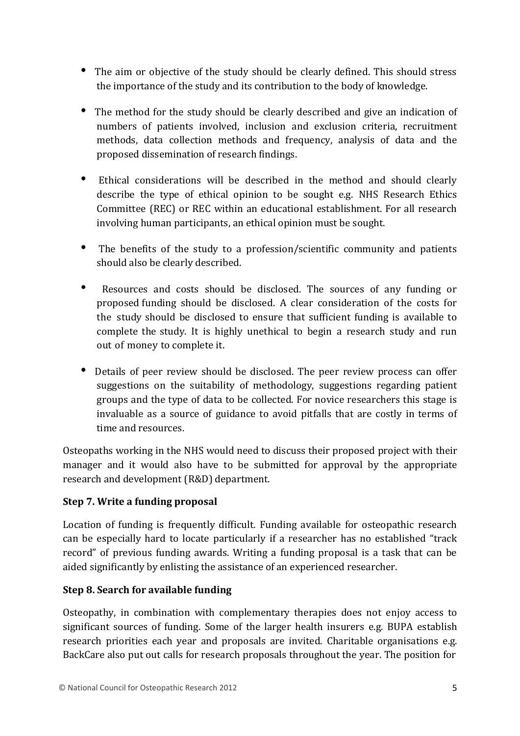- The aim or objective of the study should be clearly defined. This should stress the importance of the study and its contribution to the body of knowledge.
- The method for the study should be clearly described and give an indication of numbers of patients involved, inclusion and exclusion criteria, recruitment methods, data collection methods and frequency, analysis of data and the proposed dissemination of research findings.
- Ethical considerations will be described in the method and should clearly describe the type of ethical opinion to be sought e.g. NHS Research Ethics Committee (REC) or REC within an educational establishment. For all research involving human participants, an ethical opinion must be sought.
- The benefits of the study to a profession/scientific community and patients should also be clearly described.
- Resources and costs should be disclosed. The sources of any funding or proposed funding should be disclosed. A clear consideration of the costs for the study should be disclosed to ensure that sufficient funding is available to complete the study. It is highly unethical to begin a research study and run out of money to complete it.
- Details of peer review should be disclosed. The peer review process can offer suggestions on the suitability of methodology, suggestions regarding patient groups and the type of data to be collected. For novice researchers this stage is invaluable as a source of guidance to avoid pitfalls that are costly in terms of time and resources.

Osteopaths working in the NHS would need to discuss their proposed project with their manager and it would also have to be submitted for approval by the appropriate research and development (R&D) department.

# **Step 7. Write a funding proposal**

Location of funding is frequently difficult. Funding available for osteopathic research can be especially hard to locate particularly if a researcher has no established "track record" of previous funding awards. Writing a funding proposal is a task that can be aided significantly by enlisting the assistance of an experienced researcher.

#### **Step 8. Search for available funding**

Osteopathy, in combination with complementary therapies does not enjoy access to significant sources of funding. Some of the larger health insurers e.g. BUPA establish research priorities each year and proposals are invited. Charitable organisations e.g. BackCare also put out calls for research proposals throughout the year. The position for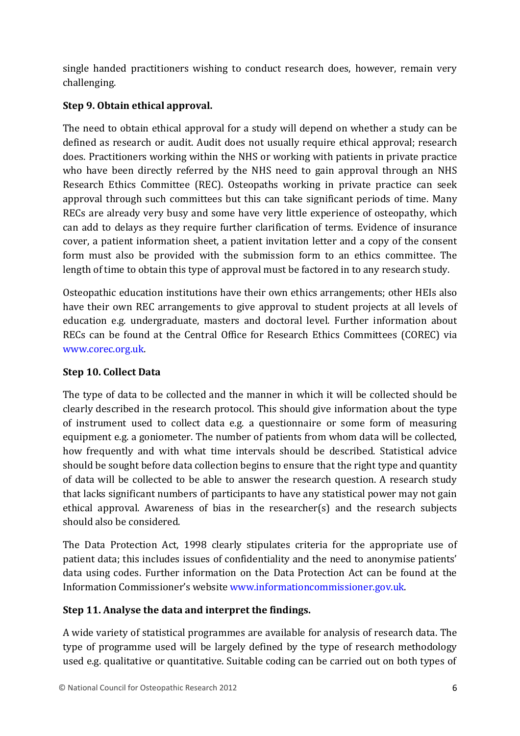single handed practitioners wishing to conduct research does, however, remain very challenging.

# **Step 9. Obtain ethical approval.**

The need to obtain ethical approval for a study will depend on whether a study can be defined as research or audit. Audit does not usually require ethical approval; research does. Practitioners working within the NHS or working with patients in private practice who have been directly referred by the NHS need to gain approval through an NHS Research Ethics Committee (REC). Osteopaths working in private practice can seek approval through such committees but this can take significant periods of time. Many RECs are already very busy and some have very little experience of osteopathy, which can add to delays as they require further clarification of terms. Evidence of insurance cover, a patient information sheet, a patient invitation letter and a copy of the consent form must also be provided with the submission form to an ethics committee. The length of time to obtain this type of approval must be factored in to any research study.

Osteopathic education institutions have their own ethics arrangements; other HEIs also have their own REC arrangements to give approval to student projects at all levels of education e.g. undergraduate, masters and doctoral level. Further information about RECs can be found at the Central Office for Research Ethics Committees (COREC) via [www.corec.org.uk.](http://www.corec.org.uk/)

# **Step 10. Collect Data**

The type of data to be collected and the manner in which it will be collected should be clearly described in the research protocol. This should give information about the type of instrument used to collect data e.g. a questionnaire or some form of measuring equipment e.g. a goniometer. The number of patients from whom data will be collected, how frequently and with what time intervals should be described. Statistical advice should be sought before data collection begins to ensure that the right type and quantity of data will be collected to be able to answer the research question. A research study that lacks significant numbers of participants to have any statistical power may not gain ethical approval. Awareness of bias in the researcher(s) and the research subjects should also be considered.

The Data Protection Act, 1998 clearly stipulates criteria for the appropriate use of patient data; this includes issues of confidentiality and the need to anonymise patients' data using codes. Further information on the Data Protection Act can be found at the Information Commissioner's website [www.informationcommissioner.gov.uk.](http://www.informationcommissioner.gov.uk/)

# **Step 11. Analyse the data and interpret the findings.**

A wide variety of statistical programmes are available for analysis of research data. The type of programme used will be largely defined by the type of research methodology used e.g. qualitative or quantitative. Suitable coding can be carried out on both types of